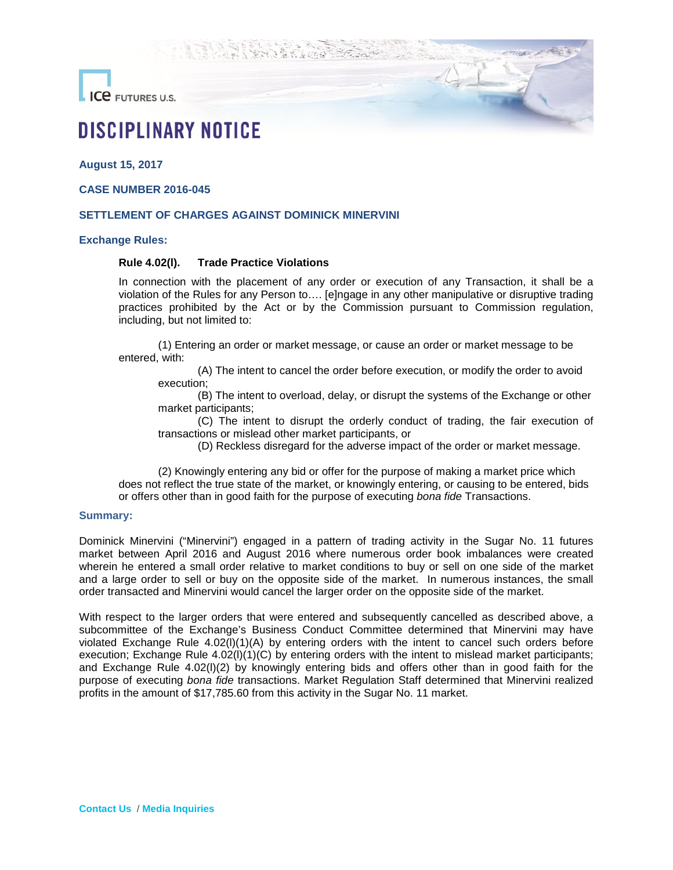**ICE** FUTURES U.S.

# **DISCIPLINARY NOTICE**

**August 15, 2017**

**CASE NUMBER 2016-045**

### **SETTLEMENT OF CHARGES AGAINST DOMINICK MINERVINI**

#### **Exchange Rules:**

# **Rule 4.02(l). Trade Practice Violations**

In connection with the placement of any order or execution of any Transaction, it shall be a violation of the Rules for any Person to…. [e]ngage in any other manipulative or disruptive trading practices prohibited by the Act or by the Commission pursuant to Commission regulation, including, but not limited to:

(1) Entering an order or market message, or cause an order or market message to be entered, with:

(A) The intent to cancel the order before execution, or modify the order to avoid execution;

(B) The intent to overload, delay, or disrupt the systems of the Exchange or other market participants;

(C) The intent to disrupt the orderly conduct of trading, the fair execution of transactions or mislead other market participants, or

(D) Reckless disregard for the adverse impact of the order or market message.

(2) Knowingly entering any bid or offer for the purpose of making a market price which does not reflect the true state of the market, or knowingly entering, or causing to be entered, bids or offers other than in good faith for the purpose of executing *bona fide* Transactions.

#### **Summary:**

Dominick Minervini ("Minervini") engaged in a pattern of trading activity in the Sugar No. 11 futures market between April 2016 and August 2016 where numerous order book imbalances were created wherein he entered a small order relative to market conditions to buy or sell on one side of the market and a large order to sell or buy on the opposite side of the market. In numerous instances, the small order transacted and Minervini would cancel the larger order on the opposite side of the market.

With respect to the larger orders that were entered and subsequently cancelled as described above, a subcommittee of the Exchange's Business Conduct Committee determined that Minervini may have violated Exchange Rule 4.02(l)(1)(A) by entering orders with the intent to cancel such orders before execution; Exchange Rule 4.02(I)(1)(C) by entering orders with the intent to mislead market participants; and Exchange Rule 4.02(l)(2) by knowingly entering bids and offers other than in good faith for the purpose of executing *bona fide* transactions. Market Regulation Staff determined that Minervini realized profits in the amount of \$17,785.60 from this activity in the Sugar No. 11 market.